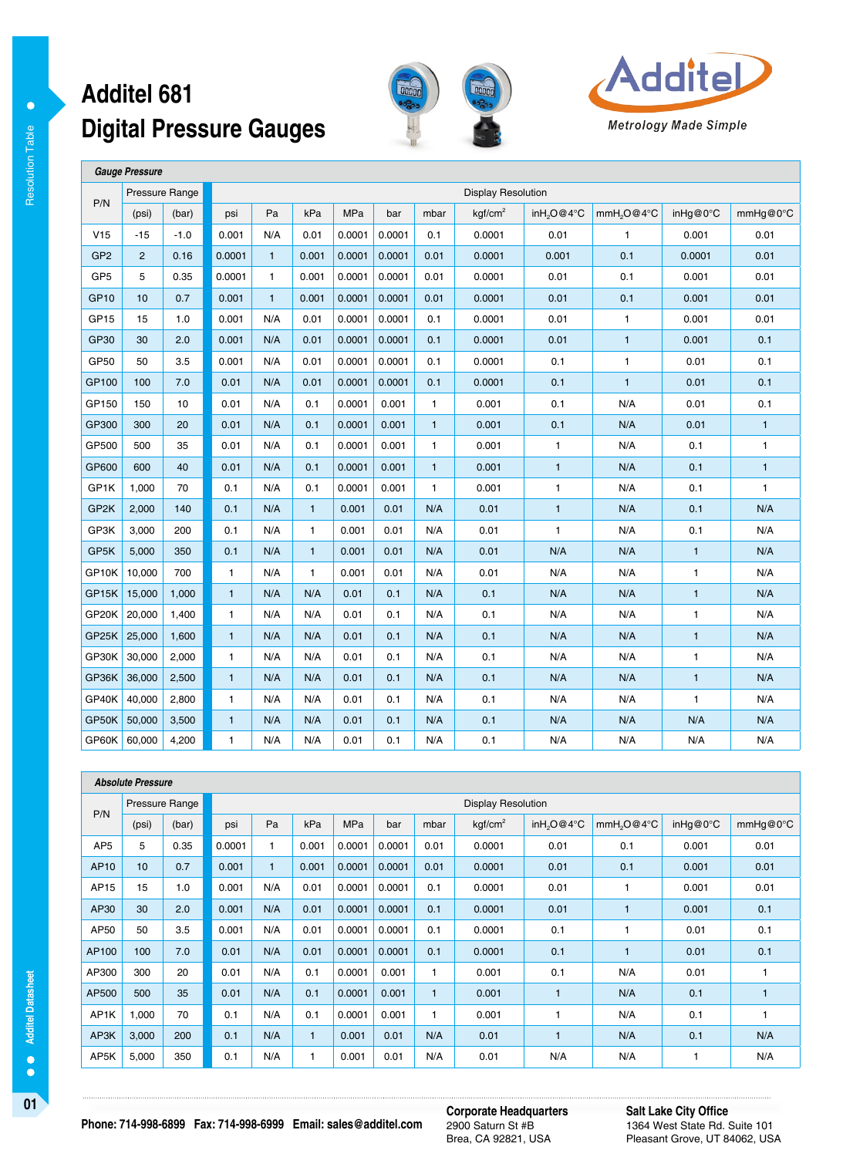#### **Digital Pressure Gauges Additel 681**





 **Gauge Pressure**  P/N Pressure Range **Display Resolution Pressure Range Display Resolution** (psi) (bar) psi Pa kPa MPa bar mbar kgf/cm<sup>2</sup> inH2O@4°C mmH2O@4°C inHg@0°C mmHg@0°C V15 -15 -1.0 0.001 | N/A | 0.01 | 0.0001 | 0.0001 | 0.0001 | 0.01 | 1 | 0.001 | 0.01 | 0.01 GP2 2 0.16 0.0001 1 0.001 0.0001 0.0001 0.01 0.0001 0.001 0.1 0.0001 0.01 GP5 5 0.35 0.0001 1 0.001 0.0001 0.0001 0.01 0.0001 0.01 0.01 0.01 0.01 0.01 0.01 GP10 | 10 | 0.7 | 0.001 | 1 | 0.001 | 0.0001 | 0.001 | 0.0001 | 0.001 | 0.01 | 0.01 | 0.01 | 0.01 | 0.01 GP15 15 1.0 0.001 N/A 0.01 0.0001 0.0001 0.1 0.0001 0.01 1 0.001 0.01 0.01 GP30 30 2.0 0.001 N/A 0.01 0.0001 0.0001 0.1 0.0001 0.01 1 0.001 0.1 GP50 50 3.5 0.001 N/A 0.01 0.0001 0.0001 0.1 0.0001 0.1 1 0.01 0.1 GP100 100 7.0 0.01 N/A 0.01 0.0001 0.0001 0.1 0.0001 0.1 1 0.01 0.1 GP150 150 10 0.01 N/A 0.1 0.0001 0.001 1 0.001 0.01 N/A 0.01 0.1 GP300 300 20 0.01 N/A 0.1 0.0001 0.001 1 0.001 0.01 0.1 N/A 0.01 1 GP500 500 35 0.01 N/A 0.1 0.0001 0.001 1 0.001 1 1 N/A 0.1 1 GP600 600 40 0.01 N/A 0.1 0.0001 0.001 1 0.001 1 1 N/A 0.1 1 GP1K | 1,000 | 70 | 0.1 | N/A | 0.1 | 0.0001 | 0.001 | 1 | 0.001 | 1 | 1 | N/A | 0.1 | 1 GP2K | 2,000 | 140 | 0.1 | N/A | 1 | 0.001 | 0.01 | N/A | 0.01 | 1 | N/A | 0.1 | N/A GP3K 3,000 200 0.1 N/A 1 0.001 0.01 N/A 0.01 1 N/A 0.1 N/A GP5K 5,000 350 0.1 N/A 1 0.001 0.01 N/A 0.01 N/A N/A N/A 1 1 N/A GP10K | 10,000 | 700 | 1 | N/A | 1 | 0.001 | 0.01 | N/A | 0.01 | N/A | N/A | 1 | N/A GP15K 15,000 1,000 1 | N/A | N/A | 0.01 | 0.1 | N/A | 0.1 | N/A | N/A | 1 | N/A GP20K 20,000 | 1,400 | 1 | N/A | N/A | 0.01 | 0.1 | N/A | 0.1 | N/A | N/A | N/A | 1 | N/A GP25K 25,000 1,600 | 1 | N/A | N/A | 0.01 | 0.1 | N/A | 0.1 | N/A | N/A | 1 | N/A GP30K 30,000 2,000 | 1 | N/A | N/A | 0.01 | 0.1 | N/A | 0.1 | N/A | N/A | 1 | N/A GP36K 36,000 2,500 | 1 | N/A | N/A | 0.01 | 0.1 | N/A | 0.1 | N/A | N/A | 1 | N/A GP40K | 40,000 | 2,800 | 1 | N/A | N/A | 0.01 | 0.1 | N/A | 0.1 | N/A | N/A | N/A | 1 | N/A GP50K 50,000 3,500 | 1 | N/A | N/A | 0.01 | 0.1 | N/A | N/A | N/A | N/A | N/A | N/A | N/A GP60K 60,000 | 4,200 | 1 | N/A | N/A | 0.01 | 0.1 | N/A | 0.1 | N/A | N/A | N/A | N/A | N/A

|                 | <b>Absolute Pressure</b> |       |                           |              |              |            |        |                |                     |                        |                        |           |          |  |  |
|-----------------|--------------------------|-------|---------------------------|--------------|--------------|------------|--------|----------------|---------------------|------------------------|------------------------|-----------|----------|--|--|
| P/N             | Pressure Range           |       | <b>Display Resolution</b> |              |              |            |        |                |                     |                        |                        |           |          |  |  |
|                 | (psi)                    | (bar) | psi                       | Pa           | kPa          | <b>MPa</b> | bar    | mbar           | kgf/cm <sup>2</sup> | inH <sub>2</sub> O@4°C | mmH <sub>2</sub> O@4°C | in Hg@0°C | mmHq@0°C |  |  |
| AP <sub>5</sub> | 5                        | 0.35  | 0.0001                    | 1            | 0.001        | 0.0001     | 0.0001 | 0.01           | 0.0001              | 0.01                   | 0.1                    | 0.001     | 0.01     |  |  |
| AP10            | 10 <sup>10</sup>         | 0.7   | 0.001                     | $\mathbf{1}$ | 0.001        | 0.0001     | 0.0001 | 0.01           | 0.0001              | 0.01                   | 0.1                    | 0.001     | 0.01     |  |  |
| AP15            | 15                       | 1.0   | 0.001                     | N/A          | 0.01         | 0.0001     | 0.0001 | 0.1            | 0.0001              | 0.01                   |                        | 0.001     | 0.01     |  |  |
| AP30            | 30                       | 2.0   | 0.001                     | N/A          | 0.01         | 0.0001     | 0.0001 | 0.1            | 0.0001              | 0.01                   | $\blacksquare$         | 0.001     | 0.1      |  |  |
| AP50            | 50                       | 3.5   | 0.001                     | N/A          | 0.01         | 0.0001     | 0.0001 | 0.1            | 0.0001              | 0.1                    |                        | 0.01      | 0.1      |  |  |
| AP100           | 100                      | 7.0   | 0.01                      | N/A          | 0.01         | 0.0001     | 0.0001 | 0.1            | 0.0001              | 0.1                    |                        | 0.01      | 0.1      |  |  |
| AP300           | 300                      | 20    | 0.01                      | N/A          | 0.1          | 0.0001     | 0.001  | $\overline{1}$ | 0.001               | 0.1                    | N/A                    | 0.01      |          |  |  |
| AP500           | 500                      | 35    | 0.01                      | N/A          | 0.1          | 0.0001     | 0.001  | $\mathbf{1}$   | 0.001               | $\mathbf{1}$           | N/A                    | 0.1       |          |  |  |
| AP1K            | 1,000                    | 70    | 0.1                       | N/A          | 0.1          | 0.0001     | 0.001  | $\overline{1}$ | 0.001               | $\overline{1}$         | N/A                    | 0.1       |          |  |  |
| AP3K            | 3,000                    | 200   | 0.1                       | N/A          | $\mathbf{1}$ | 0.001      | 0.01   | N/A            | 0.01                | $\blacksquare$         | N/A                    | 0.1       | N/A      |  |  |
| AP5K            | 5,000                    | 350   | 0.1                       | N/A          | 1            | 0.001      | 0.01   | N/A            | 0.01                | N/A                    | N/A                    |           | N/A      |  |  |

**01 Corporate Headquarters** 2900 Saturn St #B Brea, CA 92821, USA

**Salt Lake City Office** 1364 West State Rd. Suite 101 Pleasant Grove, UT 84062, USA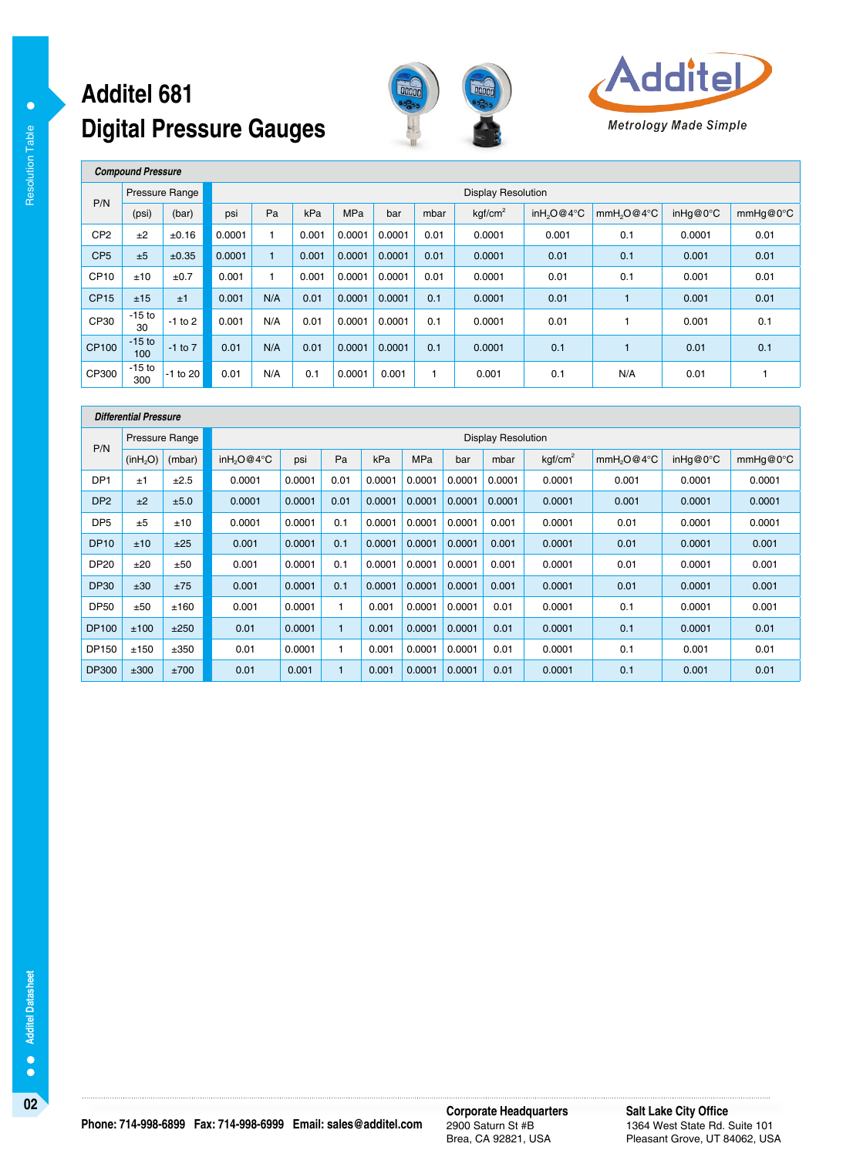# **Digital Pressure Gauges Additel 681**





 **Compound Pressure** 

Resolution Table

Resolution Table

 $\bullet$ 

| P/N              | Pressure Range  |             | <b>Display Resolution</b> |     |       |            |        |      |                     |                        |                        |          |          |  |  |
|------------------|-----------------|-------------|---------------------------|-----|-------|------------|--------|------|---------------------|------------------------|------------------------|----------|----------|--|--|
|                  | (psi)           | (bar)       | psi                       | Pa  | kPa   | <b>MPa</b> | bar    | mbar | kqf/cm <sup>2</sup> | inH <sub>2</sub> O@4°C | mmH <sub>2</sub> O@4°C | inHg@0°C | mmHq@0°C |  |  |
| CP <sub>2</sub>  | ±2              | ±0.16       | 0.0001                    |     | 0.001 | 0.0001     | 0.0001 | 0.01 | 0.0001              | 0.001                  | 0.1                    | 0.0001   | 0.01     |  |  |
| CP <sub>5</sub>  | ±5              | ±0.35       | 0.0001                    |     | 0.001 | 0.0001     | 0.0001 | 0.01 | 0.0001              | 0.01                   | 0.1                    | 0.001    | 0.01     |  |  |
| CP <sub>10</sub> | ±10             | ±0.7        | 0.001                     |     | 0.001 | 0.0001     | 0.0001 | 0.01 | 0.0001              | 0.01                   | 0.1                    | 0.001    | 0.01     |  |  |
| <b>CP15</b>      | ±15             | ±1          | 0.001                     | N/A | 0.01  | 0.0001     | 0.0001 | 0.1  | 0.0001              | 0.01                   |                        | 0.001    | 0.01     |  |  |
| CP30             | $-15$ to<br>30  | $-1$ to 2   | 0.001                     | N/A | 0.01  | 0.0001     | 0.0001 | 0.1  | 0.0001              | 0.01                   |                        | 0.001    | 0.1      |  |  |
| CP100            | $-15$ to<br>100 | $-1$ to $7$ | 0.01                      | N/A | 0.01  | 0.0001     | 0.0001 | 0.1  | 0.0001              | 0.1                    |                        | 0.01     | 0.1      |  |  |
| CP300            | $-15$ to<br>300 | $-1$ to 20  | 0.01                      | N/A | 0.1   | 0.0001     | 0.001  |      | 0.001               | 0.1                    | N/A                    | 0.01     |          |  |  |

|                 | <b>Differential Pressure</b> |        |                        |                           |              |        |            |        |        |                     |                        |           |          |  |  |  |
|-----------------|------------------------------|--------|------------------------|---------------------------|--------------|--------|------------|--------|--------|---------------------|------------------------|-----------|----------|--|--|--|
| P/N             | <b>Pressure Range</b>        |        |                        | <b>Display Resolution</b> |              |        |            |        |        |                     |                        |           |          |  |  |  |
|                 | (inH <sub>2</sub> O)         | (mbar) | inH <sub>2</sub> O@4°C | psi                       | Pa           | kPa    | <b>MPa</b> | bar    | mbar   | kgf/cm <sup>2</sup> | mmH <sub>2</sub> O@4°C | in Hg@0°C | mmHq@0°C |  |  |  |
| DP <sub>1</sub> | ±1                           | ±2.5   | 0.0001                 | 0.0001                    | 0.01         | 0.0001 | 0.0001     | 0.0001 | 0.0001 | 0.0001              | 0.001                  | 0.0001    | 0.0001   |  |  |  |
| DP <sub>2</sub> | ±2                           | ±5.0   | 0.0001                 | 0.0001                    | 0.01         | 0.0001 | 0.0001     | 0.0001 | 0.0001 | 0.0001              | 0.001                  | 0.0001    | 0.0001   |  |  |  |
| DP <sub>5</sub> | ±5                           | ±10    | 0.0001                 | 0.0001                    | 0.1          | 0.0001 | 0.0001     | 0.0001 | 0.001  | 0.0001              | 0.01                   | 0.0001    | 0.0001   |  |  |  |
| <b>DP10</b>     | ±10                          | ±25    | 0.001                  | 0.0001                    | 0.1          | 0.0001 | 0.0001     | 0.0001 | 0.001  | 0.0001              | 0.01                   | 0.0001    | 0.001    |  |  |  |
| <b>DP20</b>     | ±20                          | ±50    | 0.001                  | 0.0001                    | 0.1          | 0.0001 | 0.0001     | 0.0001 | 0.001  | 0.0001              | 0.01                   | 0.0001    | 0.001    |  |  |  |
| <b>DP30</b>     | ±30                          | ±75    | 0.001                  | 0.0001                    | 0.1          | 0.0001 | 0.0001     | 0.0001 | 0.001  | 0.0001              | 0.01                   | 0.0001    | 0.001    |  |  |  |
| <b>DP50</b>     | ±50                          | ±160   | 0.001                  | 0.0001                    | 1.           | 0.001  | 0.0001     | 0.0001 | 0.01   | 0.0001              | 0.1                    | 0.0001    | 0.001    |  |  |  |
| DP100           | ±100                         | ±250   | 0.01                   | 0.0001                    | $\mathbf{1}$ | 0.001  | 0.0001     | 0.0001 | 0.01   | 0.0001              | 0.1                    | 0.0001    | 0.01     |  |  |  |
| DP150           | ±150                         | ±350   | 0.01                   | 0.0001                    | 1            | 0.001  | 0.0001     | 0.0001 | 0.01   | 0.0001              | 0.1                    | 0.001     | 0.01     |  |  |  |
| <b>DP300</b>    | ±300                         | ±700   | 0.01                   | 0.001                     | $\mathbf{1}$ | 0.001  | 0.0001     | 0.0001 | 0.01   | 0.0001              | 0.1                    | 0.001     | 0.01     |  |  |  |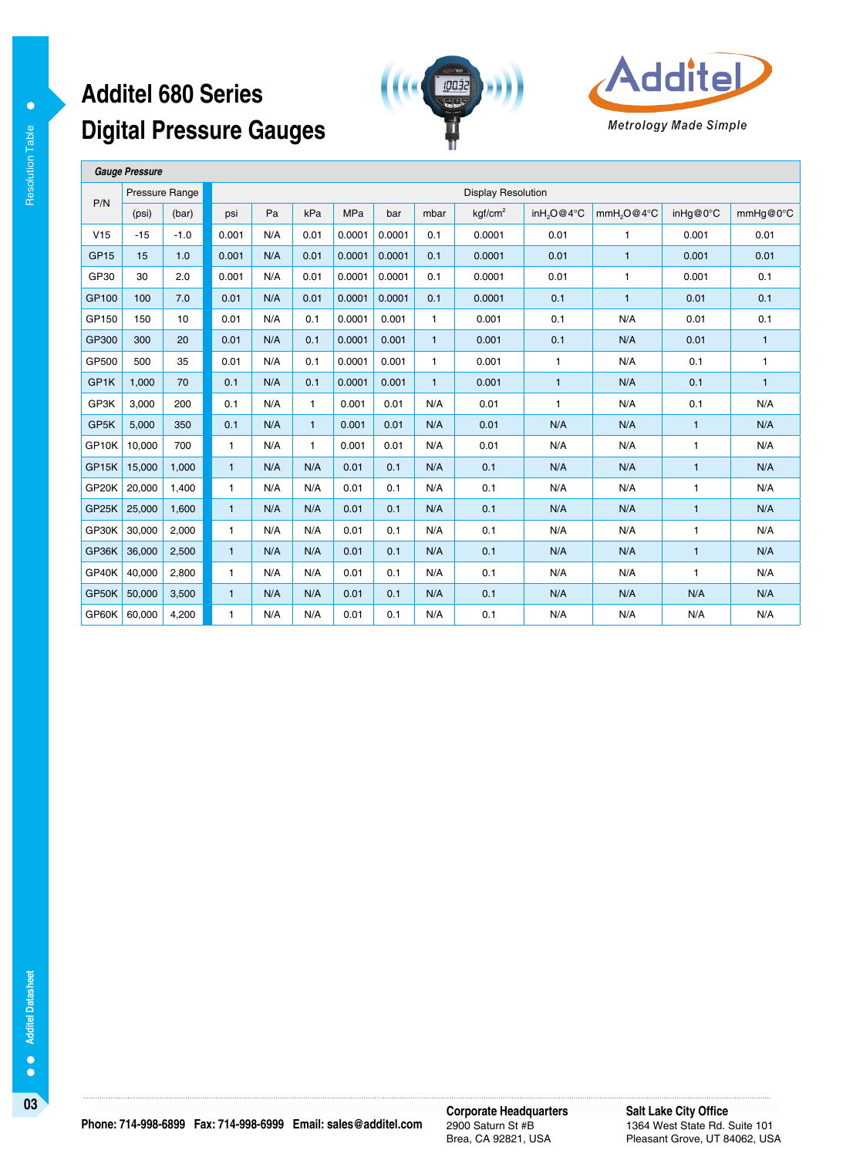# **Digital Pressure Gauges Additel 680 Series**





 **Gauge Pressure** 

| P/N         | Pressure Range |        | <b>Display Resolution</b> |     |              |            |        |              |                     |                        |                        |              |              |  |  |
|-------------|----------------|--------|---------------------------|-----|--------------|------------|--------|--------------|---------------------|------------------------|------------------------|--------------|--------------|--|--|
|             | (psi)          | (bar)  | psi                       | Pa  | kPa          | <b>MPa</b> | bar    | mbar         | kgf/cm <sup>2</sup> | inH <sub>2</sub> O@4°C | mmH <sub>2</sub> O@4°C | inHg@0°C     | mmHg@0°C     |  |  |
| V15         | $-15$          | $-1.0$ | 0.001                     | N/A | 0.01         | 0.0001     | 0.0001 | 0.1          | 0.0001              | 0.01                   | $\mathbf{1}$           | 0.001        | 0.01         |  |  |
| <b>GP15</b> | 15             | 1.0    | 0.001                     | N/A | 0.01         | 0.0001     | 0.0001 | 0.1          | 0.0001              | 0.01                   | $\mathbf{1}$           | 0.001        | 0.01         |  |  |
| GP30        | 30             | 2.0    | 0.001                     | N/A | 0.01         | 0.0001     | 0.0001 | 0.1          | 0.0001              | 0.01                   | $\mathbf{1}$           | 0.001        | 0.1          |  |  |
| GP100       | 100            | 7.0    | 0.01                      | N/A | 0.01         | 0.0001     | 0.0001 | 0.1          | 0.0001              | 0.1                    | $\mathbf{1}$           | 0.01         | 0.1          |  |  |
| GP150       | 150            | 10     | 0.01                      | N/A | 0.1          | 0.0001     | 0.001  | $\mathbf{1}$ | 0.001               | 0.1                    | N/A                    | 0.01         | 0.1          |  |  |
| GP300       | 300            | 20     | 0.01                      | N/A | 0.1          | 0.0001     | 0.001  | $\mathbf{1}$ | 0.001               | 0.1                    | N/A                    | 0.01         | $\mathbf{1}$ |  |  |
| GP500       | 500            | 35     | 0.01                      | N/A | 0.1          | 0.0001     | 0.001  | 1            | 0.001               | $\mathbf{1}$           | N/A                    | 0.1          | $\mathbf{1}$ |  |  |
| GP1K        | 1.000          | 70     | 0.1                       | N/A | 0.1          | 0.0001     | 0.001  | $\mathbf{1}$ | 0.001               | $\mathbf{1}$           | N/A                    | 0.1          | $\mathbf{1}$ |  |  |
| GP3K        | 3.000          | 200    | 0.1                       | N/A | 1            | 0.001      | 0.01   | N/A          | 0.01                | $\mathbf{1}$           | N/A                    | 0.1          | N/A          |  |  |
| GP5K        | 5.000          | 350    | 0.1                       | N/A | $\mathbf{1}$ | 0.001      | 0.01   | N/A          | 0.01                | N/A                    | N/A                    | $\mathbf{1}$ | N/A          |  |  |
| GP10K       | 10,000         | 700    | 1                         | N/A | 1            | 0.001      | 0.01   | N/A          | 0.01                | N/A                    | N/A                    | 1            | N/A          |  |  |
| GP15K       | 15,000         | 1.000  | $\mathbf{1}$              | N/A | N/A          | 0.01       | 0.1    | N/A          | 0.1                 | N/A                    | N/A                    | $\mathbf{1}$ | N/A          |  |  |
| GP20K       | 20,000         | 1.400  | $\mathbf{1}$              | N/A | N/A          | 0.01       | 0.1    | N/A          | 0.1                 | N/A                    | N/A                    | $\mathbf{1}$ | N/A          |  |  |
| GP25K       | 25,000         | 1,600  | $\mathbf{1}$              | N/A | N/A          | 0.01       | 0.1    | N/A          | 0.1                 | N/A                    | N/A                    | $\mathbf{1}$ | N/A          |  |  |
| GP30K       | 30,000         | 2,000  | $\mathbf{1}$              | N/A | N/A          | 0.01       | 0.1    | N/A          | 0.1                 | N/A                    | N/A                    | $\mathbf{1}$ | N/A          |  |  |
| GP36K       | 36,000         | 2,500  | $\mathbf{1}$              | N/A | N/A          | 0.01       | 0.1    | N/A          | 0.1                 | N/A                    | N/A                    | $\mathbf{1}$ | N/A          |  |  |
| GP40K       | 40,000         | 2,800  | $\mathbf{1}$              | N/A | N/A          | 0.01       | 0.1    | N/A          | 0.1                 | N/A                    | N/A                    | $\mathbf{1}$ | N/A          |  |  |
| GP50K       | 50,000         | 3,500  | $\mathbf{1}$              | N/A | N/A          | 0.01       | 0.1    | N/A          | 0.1                 | N/A                    | N/A                    | N/A          | N/A          |  |  |
| GP60K       | 60,000         | 4,200  | $\mathbf{1}$              | N/A | N/A          | 0.01       | 0.1    | N/A          | 0.1                 | N/A                    | N/A                    | N/A          | N/A          |  |  |

 $\bullet$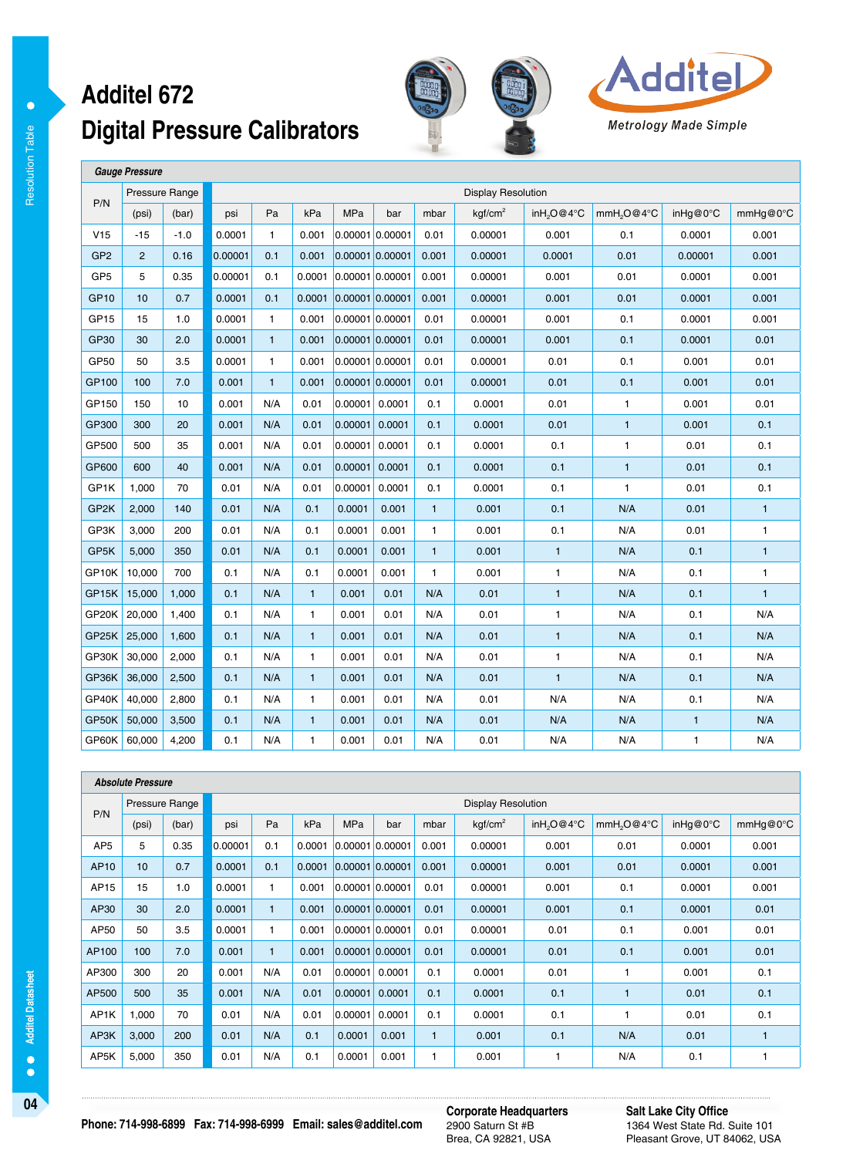#### **Digital Pressure Calibrators Additel 672**





 **Gauge Pressure**  P/N Pressure Range **Display Resolution Pressure Range Display Resolution** (psi) (bar) psi Pa kPa MPa bar mbar kgf/cm<sup>2</sup> inH2O@4°C mmH2O@4°C inHg@0°C mmHg@0°C V15 -15 -1.0 0.0001 1 0.001 0.00001 0.00001 0.01 0.00001 0.0001 0.01 0.0001 0.001 GP2 2 0.16 0.00001 0.1 0.001 0.00001 0.00001 0.0001 0.00001 0.0001 0.001 0.00001 0.001 0.001 GP5 5 0.35 0.00001 0.1 0.0001 0.00001 0.00001 0.0001 0.00001 0.001 0.001 0.0001 0.0001 0.001 GP10 | 10 | 0.7 | 0.0001 | 0.1 | 0.0001 |0.00001 |0.00001 | 0.00001 | 0.00001 | 0.001 | 0.001 | 0.001 | 0.001 GP15 15 1.0 0.0001 1 0.001 0.00001 0.00001 0.01 0.00001 0.001 0.01 0.0001 0.001 0.001 GP30 30 2.0 0.0001 1 0.001 0.00001 0.00001 0.01 0.00001 0.001 0.01 0.0001 0.01 0.01 GP50 50 3.5 0.0001 1 0.001 0.00001 0.00001 0.01 0.00001 0.01 0.1 0.001 0.01 GP100 100 7.0 0.001 1 0.001 0.00001 0.00001 0.01 0.00001 0.01 0.1 0.001 0.01 GP150 150 10 0.001 N/A 0.01 0.00001 0.0001 0.1 0.0001 0.01 1 0.001 0.01 0.01 GP300 300 20 0.001 N/A 0.01 0.00001 0.0001 0.1 0.0001 0.01 1 0.001 0.1 GP500 500 35 0.001 N/A 0.01 0.00001 0.0001 0.1 0.0001 0.1 1 0.01 0.1 GP600 600 40 0.001 N/A 0.01 0.00001 0.0001 0.1 0.0001 0.1 1 0.01 0.1 GP1K | 1,000 | 70 | 0.01 | N/A | 0.01 |0.00001 |0.0001 | 0.1 | 0.0001 | 0.1 | 1 | 0.01 | 0.1 | 0.1 GP2K 2,000 140 0.01 N/A 0.1 0.0001 0.001 1 0.001 0.001 0.01 N/A 0.01 1 GP3K 3,000 200 0.01 N/A 0.1 0.0001 0.001 1 0.001 0.001 0.01 N/A 0.01 1 GP5K 5,000 350 0.01 N/A 0.1 0.0001 0.001 1 0.001 1 1 N/A 0.1 1 GP10K | 10,000 | 700 | 0.1 | N/A | 0.1 | 0.001 | 0.001 | 1 | 0.001 | 1 | 1 | N/A | 0.1 | 1 GP15K 15,000 1,000 0.1 N/A 1 0.001 0.01 N/A 0.01 1 N/A 0.1 1 GP20K 20,000 | 1,400 | 0.1 | N/A | 1 | 0.001 | 0.01 | N/A | 0.01 | 1 | N/A | 0.1 | N/A GP25K 25,000 1,600 0.1 N/A 1 0.001 0.01 N/A 0.01 1 1 N/A 0.1 N/A GP30K 30,000 2,000 0.1 N/A 1 0.001 0.01 N/A 0.01 1 N/A 0.1 N/A GP36K 36,000 2,500 0.1 | N/A | 1 | 0.001 | N/A | 0.01 | 1 | N/A | 0.1 | N/A GP40K 40,000 2,800 0.1 N/A 1 0.001 0.01 N/A 0.01 N/A N/A N/A 0.1 N/A GP50K 50,000 3,500 0.1 | N/A | 1 | 0.001 | N/A | 0.01 | N/A | N/A | N/A | 1 | N/A GP60K 60,000 4,200 0.1 N/A 1 0.001 0.01 N/A 0.01 N/A N/A N/A 1 N/A 1 1 N/A

|                 | <b>Absolute Pressure</b> |       |         |                           |        |                 |                 |              |                     |                        |                        |          |          |  |  |  |
|-----------------|--------------------------|-------|---------|---------------------------|--------|-----------------|-----------------|--------------|---------------------|------------------------|------------------------|----------|----------|--|--|--|
| P/N             | Pressure Range           |       |         | <b>Display Resolution</b> |        |                 |                 |              |                     |                        |                        |          |          |  |  |  |
|                 | (psi)                    | (bar) | psi     | Pa                        | kPa    | <b>MPa</b>      | bar             | mbar         | kgf/cm <sup>2</sup> | inH <sub>2</sub> O@4°C | mmH <sub>2</sub> O@4°C | inHg@0°C | mmHq@0°C |  |  |  |
| AP <sub>5</sub> | 5                        | 0.35  | 0.00001 | 0.1                       | 0.0001 | 0.00001 0.00001 |                 | 0.001        | 0.00001             | 0.001                  | 0.01                   | 0.0001   | 0.001    |  |  |  |
| AP10            | 10 <sup>1</sup>          | 0.7   | 0.0001  | 0.1                       | 0.0001 |                 | 0.00001 0.00001 | 0.001        | 0.00001             | 0.001                  | 0.01                   | 0.0001   | 0.001    |  |  |  |
| AP15            | 15                       | 1.0   | 0.0001  | 1                         | 0.001  |                 | 0.00001 0.00001 | 0.01         | 0.00001             | 0.001                  | 0.1                    | 0.0001   | 0.001    |  |  |  |
| AP30            | 30                       | 2.0   | 0.0001  | $\mathbf{1}$              | 0.001  |                 | 0.00001 0.00001 | 0.01         | 0.00001             | 0.001                  | 0.1                    | 0.0001   | 0.01     |  |  |  |
| AP50            | 50                       | 3.5   | 0.0001  | $\mathbf{1}$              | 0.001  |                 | 0.00001 0.00001 | 0.01         | 0.00001             | 0.01                   | 0.1                    | 0.001    | 0.01     |  |  |  |
| AP100           | 100                      | 7.0   | 0.001   | $\blacksquare$            | 0.001  |                 | 0.00001 0.00001 | 0.01         | 0.00001             | 0.01                   | 0.1                    | 0.001    | 0.01     |  |  |  |
| AP300           | 300                      | 20    | 0.001   | N/A                       | 0.01   | 0.00001         | 0.0001          | 0.1          | 0.0001              | 0.01                   | 1                      | 0.001    | 0.1      |  |  |  |
| AP500           | 500                      | 35    | 0.001   | N/A                       | 0.01   | 0.00001         | 0.0001          | 0.1          | 0.0001              | 0.1                    | $\mathbf{1}$           | 0.01     | 0.1      |  |  |  |
| AP1K            | 1,000                    | 70    | 0.01    | N/A                       | 0.01   | 0.00001         | 0.0001          | 0.1          | 0.0001              | 0.1                    |                        | 0.01     | 0.1      |  |  |  |
| AP3K            | 3,000                    | 200   | 0.01    | N/A                       | 0.1    | 0.0001          | 0.001           | $\mathbf{1}$ | 0.001               | 0.1                    | N/A                    | 0.01     |          |  |  |  |
| AP5K            | 5,000                    | 350   | 0.01    | N/A                       | 0.1    | 0.0001          | 0.001           | $\mathbf{1}$ | 0.001               |                        | N/A                    | 0.1      |          |  |  |  |

**04 Corporate Headquarters** 2900 Saturn St #B Brea, CA 92821, USA

**Salt Lake City Office** 1364 West State Rd. Suite 101 Pleasant Grove, UT 84062, USA